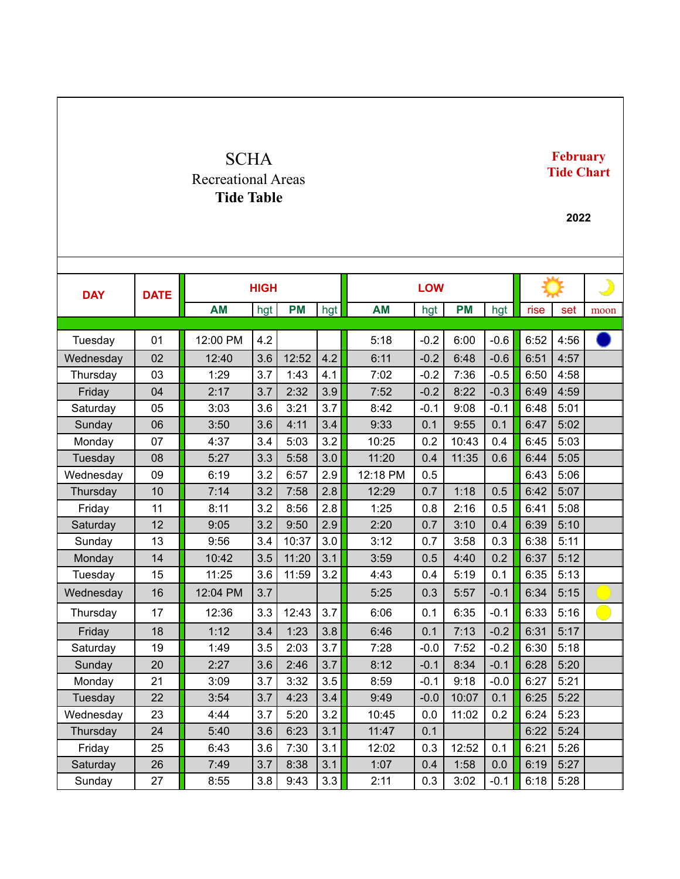## **SCHA** Recreational Areas **Tide Table February Tide Chart 2022 DAY DATE HIGH LOW AM** | hgt | **PM** | hgt | **AM** | hgt | **PM** | hgt | rise | set | moon Tuesday | 01 | 12:00 PM | 4.2 | | | | | 5:18 | -0.2 | 6:00 | -0.6 | 6:52 | 4:56 Wednesday | 02 | 12:40 | 3.6 | 12:52 | 4.2 | 6:11 | -0.2 | 6:48 | -0.6 | 6:51 | 4:57 Thursday | 03 | 1:29 | 3.7 | 1:43 | 4.1 | 1:02 | -0.2 | 7:36 | -0.5 | 6:50 | 4:58 Friday  $\begin{array}{|c|c|c|c|c|c|c|c|} \hline \end{array}$  04  $\begin{array}{|c|c|c|c|c|c|c|c|c|} \hline \end{array}$  2:32  $\begin{array}{|c|c|c|c|c|c|c|} \hline \end{array}$  3.9  $\begin{array}{|c|c|c|c|c|c|} \hline \end{array}$  3.22  $\begin{array}{|c|c|c|c|c|c|} \hline \end{array}$  3.49  $\begin{array}{|c|c|c|c|c|c|} \hline \end{array}$ Saturday | 05 | 3:03 | 3.6 | 3:21 | 3.7 | 8:42 | -0.1 | 9:08 | -0.1 | 6:48 | 5:01 Sunday 06 3:50 3.6 4:11 3.4 9:33 0.1 9:55 0.1 6:47 5:02 Monday | 07 | 4:37 | 3.4 | 5:03 | 3.2 | 10:25 | 0.2 | 10:43 | 0.4 | 6:45 | 5:03 Tuesday | 08 | 5:27 | 3.3 | 5:58 | 3.0 | 11:20 | 0.4 | 11:35 | 0.6 | 6:44 | 5:05 Wednesday | 09 || 6:19 ||3.2 || 6:57 || 2.9 || 12:18 PM || 0.5 || || || || || || || || || || 5:06 Thursday | 10 | 7:14 | 3.2 | 7:58 | 2.8 | 12:29 | 0.7 | 1:18 | 0.5 | 6:42 | 5:07 Friday | 11 | 8:11 | 3.2 | 8:56 | 2.8 | 1:25 | 0.8 | 2:16 | 0.5 | 6:41 | 5:08 Saturday | 12 | 9:05 | 3.2 | 9:50 | 2.9 | 2.20 | 0.7 | 3:10 | 0.4 | 6:39 | 5:10 Sunday | 13 | 9:56 | 3.4 | 10:37 | 3.0 | 3:12 | 0.7 | 3:58 | 0.3 | 6:38 | 5:11 Monday | 14 | 10:42 | 3.5 | 11:20 | 3.1 | 3:59 | 0.5 | 4:40 | 0.2 | 6:37 | 5:12 Tuesday | 15 | 11:25 | 3.6 | 11:59 | 3.2 | 4:43 | 0.4 | 5:19 | 0.1 | 6:35 | 5:13 Wednesday | 16 | 12:04 PM | 3.7 | | | 5:25 | 0.3 | 5:57 | -0.1 | 6:34 | 5:15 Thursday | 17 | 12:36 | 3.3 | 12:43 | 3.7 | 6:06 | 0.1 | 6:35 | -0.1 | 6:33 | 5:16 Friday | 18 | 1:12 | 3.4 | 1:23 | 3.8 | 6:46 | 0.1 | 7:13 | -0.2 | 6:31 | 5:17 Saturday | 19 | 1:49 | 3.5 | 2:03 | 3.7 | 7:28 | -0.0 | 7:52 | -0.2 | 6:30 | 5:18 Sunday | 20 | 2:27 | 3.6 | 2:46 | 3.7 | 8:12 | -0.1 | 8:34 | -0.1 | 6:28 | 5:20 Monday | 21 | 3:09 | 3.7 | 3:32 | 3.5 | 8:59 | -0.1 | 9:18 | -0.0 | 6:27 | 5:21 Tuesday | 22 | 3:54 | 3.7 | 4:23 | 3.4 | 9:49 | -0.0 | 10:07 | 0.1 | 6:25 | 5:22 Wednesday | 23 | 4:44 | 3.7 | 5:20 | 3.2 | 10:45 | 0.0 | 11:02 | 0.2 | 6:24 | 5:23 Thursday | 24 | 5:40 | 3.6 | 6:23 | 3.1 | 11:47 | 0.1 | | 6:22 | 5:24 Friday | 25 | 6:43 | 3.6 | 7:30 | 3.1 | 12:02 | 0.3 | 12:52 | 0.1 | 6:21 | 5:26 Saturday | 26 | 7:49 | 3.7 | 8:38 | 3.1 | 1:07 | 0.4 | 1:58 | 0.0 | 6:19 | 5:27

Sunday | 27 | 8:55 | 3.8 | 9:43 | 3.3 | 2:11 | 0.3 | 3:02 | -0.1 | 6:18 | 5:28